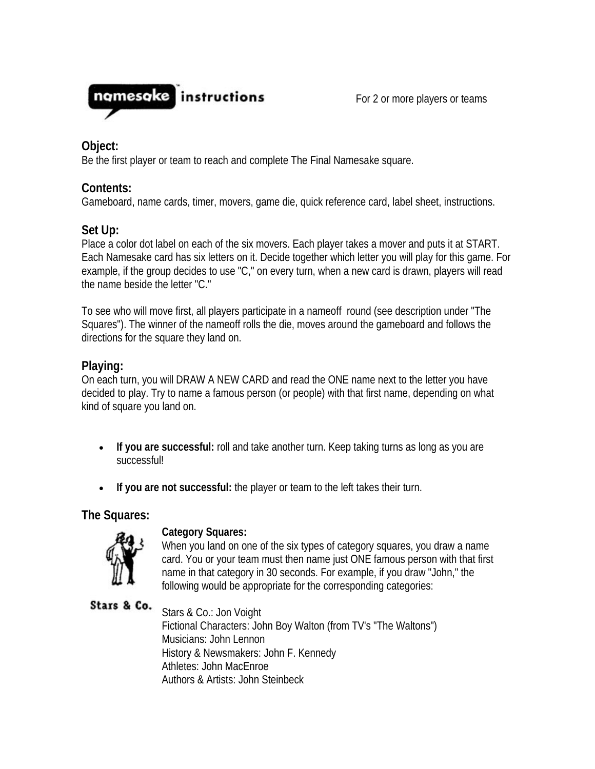

For 2 or more players or teams

# **Object:**

Be the first player or team to reach and complete The Final Namesake square.

# **Contents:**

Gameboard, name cards, timer, movers, game die, quick reference card, label sheet, instructions.

# **Set Up:**

Place a color dot label on each of the six movers. Each player takes a mover and puts it at START. Each Namesake card has six letters on it. Decide together which letter you will play for this game. For example, if the group decides to use "C," on every turn, when a new card is drawn, players will read the name beside the letter "C."

To see who will move first, all players participate in a nameoff round (see description under "The Squares"). The winner of the nameoff rolls the die, moves around the gameboard and follows the directions for the square they land on.

# **Playing:**

On each turn, you will DRAW A NEW CARD and read the ONE name next to the letter you have decided to play. Try to name a famous person (or people) with that first name, depending on what kind of square you land on.

- **If you are successful:** roll and take another turn. Keep taking turns as long as you are successful!
- **If you are not successful:** the player or team to the left takes their turn.

**The Squares:**



## **Category Squares:**

When you land on one of the six types of category squares, you draw a name card. You or your team must then name just ONE famous person with that first name in that category in 30 seconds. For example, if you draw "John," the following would be appropriate for the corresponding categories:

# Stars & Co.

Stars & Co.: Jon Voight Fictional Characters: John Boy Walton (from TV's "The Waltons") Musicians: John Lennon History & Newsmakers: John F. Kennedy Athletes: John MacEnroe Authors & Artists: John Steinbeck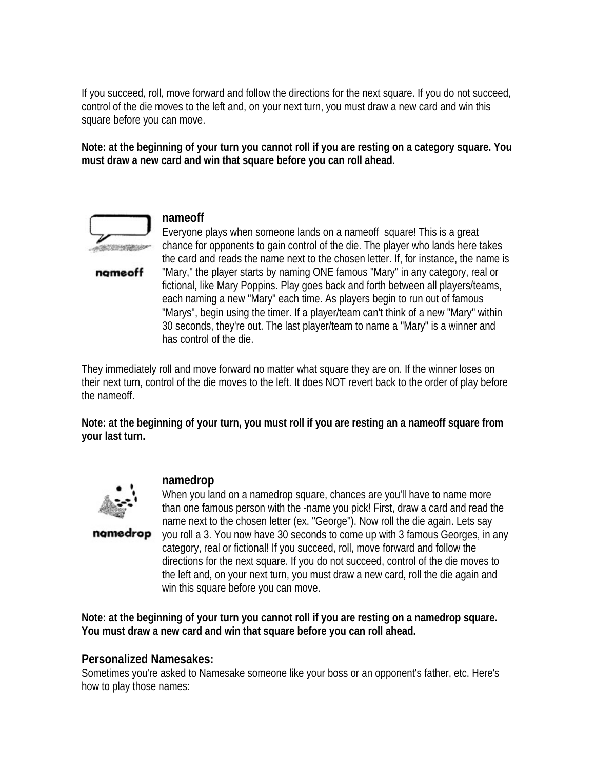If you succeed, roll, move forward and follow the directions for the next square. If you do not succeed, control of the die moves to the left and, on your next turn, you must draw a new card and win this square before you can move.

**Note: at the beginning of your turn you cannot roll if you are resting on a category square. You must draw a new card and win that square before you can roll ahead.**



nomeoff

#### **nameoff**

Everyone plays when someone lands on a nameoff square! This is a great chance for opponents to gain control of the die. The player who lands here takes the card and reads the name next to the chosen letter. If, for instance, the name is "Mary," the player starts by naming ONE famous "Mary" in any category, real or fictional, like Mary Poppins. Play goes back and forth between all players/teams, each naming a new "Mary" each time. As players begin to run out of famous "Marys", begin using the timer. If a player/team can't think of a new "Mary" within 30 seconds, they're out. The last player/team to name a "Mary" is a winner and has control of the die.

They immediately roll and move forward no matter what square they are on. If the winner loses on their next turn, control of the die moves to the left. It does NOT revert back to the order of play before the nameoff.

**Note: at the beginning of your turn, you must roll if you are resting an a nameoff square from your last turn.**



#### **namedrop**

namedrop

When you land on a namedrop square, chances are you'll have to name more than one famous person with the -name you pick! First, draw a card and read the name next to the chosen letter (ex. "George"). Now roll the die again. Lets say you roll a 3. You now have 30 seconds to come up with 3 famous Georges, in any category, real or fictional! If you succeed, roll, move forward and follow the directions for the next square. If you do not succeed, control of the die moves to the left and, on your next turn, you must draw a new card, roll the die again and win this square before you can move.

**Note: at the beginning of your turn you cannot roll if you are resting on a namedrop square. You must draw a new card and win that square before you can roll ahead.**

#### **Personalized Namesakes:**

Sometimes you're asked to Namesake someone like your boss or an opponent's father, etc. Here's how to play those names: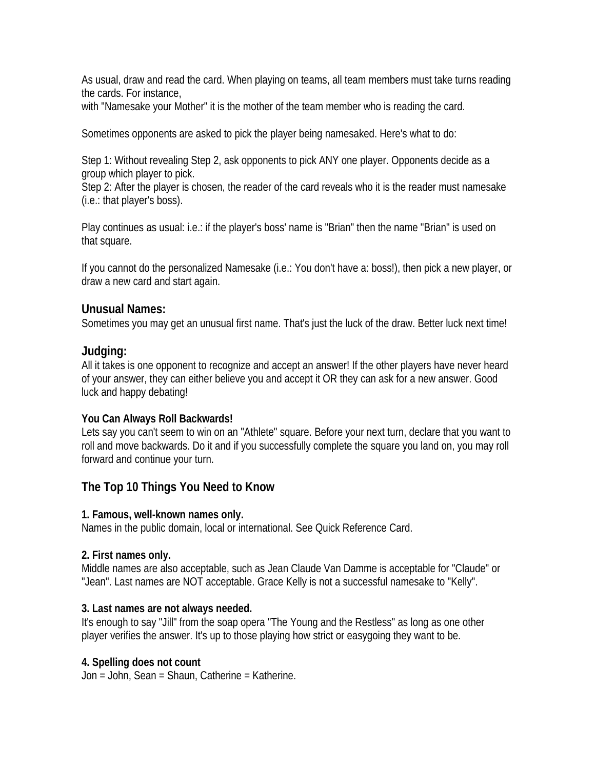As usual, draw and read the card. When playing on teams, all team members must take turns reading the cards. For instance,

with "Namesake your Mother" it is the mother of the team member who is reading the card.

Sometimes opponents are asked to pick the player being namesaked. Here's what to do:

Step 1: Without revealing Step 2, ask opponents to pick ANY one player. Opponents decide as a group which player to pick.

Step 2: After the player is chosen, the reader of the card reveals who it is the reader must namesake (i.e.: that player's boss).

Play continues as usual: i.e.: if the player's boss' name is "Brian" then the name "Brian" is used on that square.

If you cannot do the personalized Namesake (i.e.: You don't have a: boss!), then pick a new player, or draw a new card and start again.

#### **Unusual Names:**

Sometimes you may get an unusual first name. That's just the luck of the draw. Better luck next time!

## **Judging:**

All it takes is one opponent to recognize and accept an answer! If the other players have never heard of your answer, they can either believe you and accept it OR they can ask for a new answer. Good luck and happy debating!

#### **You Can Always Roll Backwards!**

Lets say you can't seem to win on an "Athlete" square. Before your next turn, declare that you want to roll and move backwards. Do it and if you successfully complete the square you land on, you may roll forward and continue your turn.

# **The Top 10 Things You Need to Know**

#### **1. Famous, well-known names only.**

Names in the public domain, local or international. See Quick Reference Card.

#### **2. First names only.**

Middle names are also acceptable, such as Jean Claude Van Damme is acceptable for "Claude" or "Jean". Last names are NOT acceptable. Grace Kelly is not a successful namesake to "Kelly".

#### **3. Last names are not always needed.**

It's enough to say "Jill" from the soap opera "The Young and the Restless" as long as one other player verifies the answer. It's up to those playing how strict or easygoing they want to be.

## **4. Spelling does not count**

Jon = John, Sean = Shaun, Catherine = Katherine.